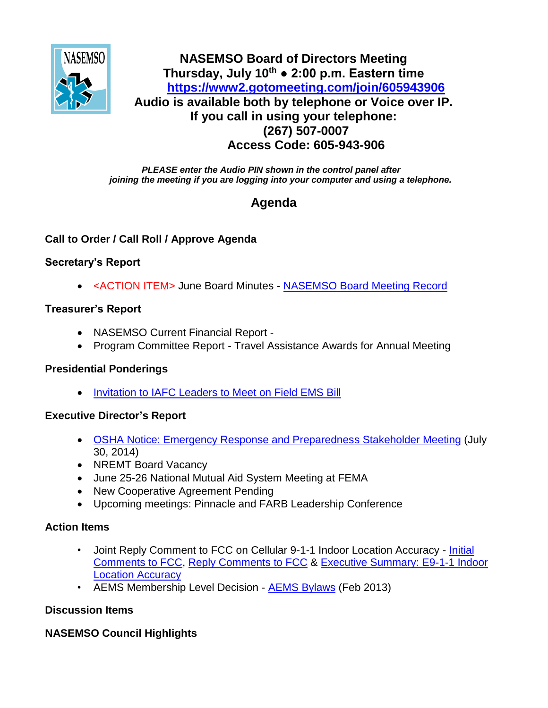

## **NASEMSO Board of Directors Meeting Thursday, July 10th ● 2:00 p.m. Eastern time <https://www2.gotomeeting.com/join/605943906> Audio is available both by telephone or Voice over IP. If you call in using your telephone: (267) 507-0007 Access Code: 605-943-906**

*PLEASE enter the Audio PIN shown in the control panel after joining the meeting if you are logging into your computer and using a telephone.*

# **Agenda**

## **Call to Order / Call Roll / Approve Agenda**

### **Secretary's Report**

<ACTION ITEM> June Board Minutes - [NASEMSO Board Meeting Record](https://www.nasemso.org/Members/Board/documents/NASEMSO-Board-Minutes-12June2014.pdf)

### **Treasurer's Report**

- NASEMSO Current Financial Report -
- Program Committee Report Travel Assistance Awards for Annual Meeting

### **Presidential Ponderings**

[Invitation to IAFC Leaders to Meet on Field EMS Bill](https://www.nasemso.org/Members/Board/documents/Invitation-to-IAFC-Leadership-09July2014.pdf)

### **Executive Director's Report**

- [OSHA Notice: Emergency Response and Preparedness Stakeholder Meeting](https://www.nasemso.org/Members/Board/documents/OSHA-Notice-Emergency-Response-and-Preparedness-Stakeholder-Meeting-04June2014.pdf) (July 30, 2014)
- NREMT Board Vacancy
- June 25-26 National Mutual Aid System Meeting at FEMA
- New Cooperative Agreement Pending
- Upcoming meetings: Pinnacle and FARB Leadership Conference

### **Action Items**

- Joint Reply Comment to FCC on Cellular 9-1-1 Indoor Location Accuracy Initial [Comments to FCC,](https://www.nasemso.org/Members/Board/documents/Joint-Comments-Location-Accuracy-NASEMSO-NAEMT-NAEMSP-NEMSMA.pdf) [Reply Comments to FCC](https://www.nasemso.org/Members/Board/documents/Draft-NASEMSO-Reply-Comments-FCC-Docket-07-114-19June2014.pdf) & [Executive Summary: E9-1-1 Indoor](https://www.nasemso.org/Members/Board/documents/Executive-Summary-E911-Indoor-Location-Accuracy.pdf)  [Location Accuracy](https://www.nasemso.org/Members/Board/documents/Executive-Summary-E911-Indoor-Location-Accuracy.pdf)
- AEMS Membership Level Decision [AEMS Bylaws](https://www.nasemso.org/Members/Board/documents/AEMS-Bylaws-Feb2013.pdf) (Feb 2013)

### **Discussion Items**

### **NASEMSO Council Highlights**